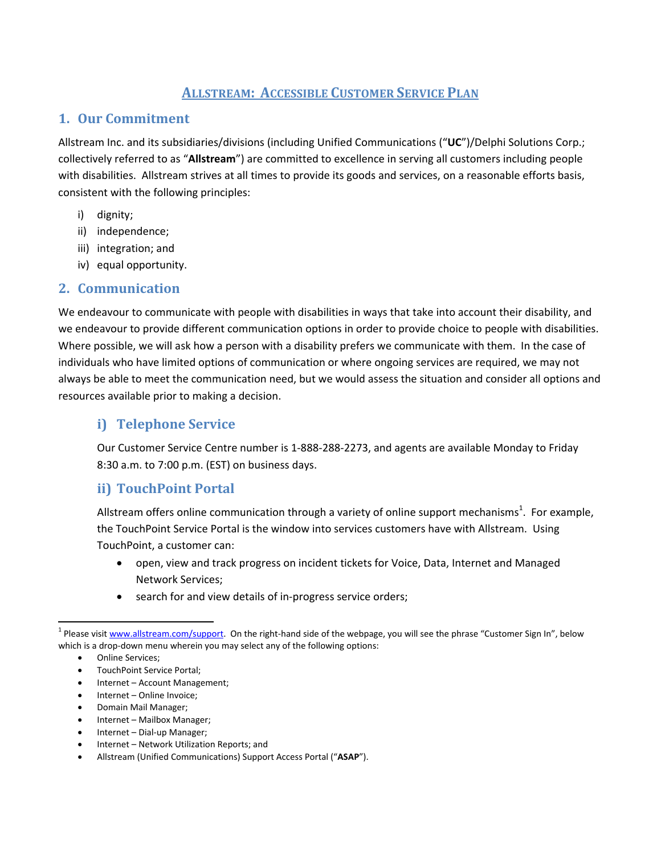# **ALLSTREAM: ACCESSIBLE CUSTOMER SERVICE PLAN**

#### **1. Our Commitment**

Allstream Inc. and its subsidiaries/divisions (including Unified Communications ("**UC**")/Delphi Solutions Corp.; collectively referred to as "**Allstream**") are committed to excellence in serving all customers including people with disabilities. Allstream strives at all times to provide its goods and services, on a reasonable efforts basis, consistent with the following principles:

- i) dignity;
- ii) independence;
- iii) integration; and
- iv) equal opportunity.

#### **2. Communication**

We endeavour to communicate with people with disabilities in ways that take into account their disability, and we endeavour to provide different communication options in order to provide choice to people with disabilities. Where possible, we will ask how a person with a disability prefers we communicate with them. In the case of individuals who have limited options of communication or where ongoing services are required, we may not always be able to meet the communication need, but we would assess the situation and consider all options and resources available prior to making a decision.

## **i) Telephone Service**

Our Customer Service Centre number is 1‐888‐288‐2273, and agents are available Monday to Friday 8:30 a.m. to 7:00 p.m. (EST) on business days.

### **ii) TouchPoint Portal**

Allstream offers online communication through a variety of online support mechanisms<sup>1</sup>. For example, the TouchPoint Service Portal is the window into services customers have with Allstream. Using TouchPoint, a customer can:

- open, view and track progress on incident tickets for Voice, Data, Internet and Managed Network Services;
- search for and view details of in-progress service orders;

- Internet Account Management;
- Internet Online Invoice;
- Domain Mail Manager;
- Internet Mailbox Manager;
- Internet Dial‐up Manager;
- Internet Network Utilization Reports; and
- Allstream (Unified Communications) Support Access Portal ("**ASAP**").

<sup>&</sup>lt;sup>1</sup> Please visit www.allstream.com/support. On the right-hand side of the webpage, you will see the phrase "Customer Sign In", below which is a drop-down menu wherein you may select any of the following options:

<sup>•</sup> Online Services;

TouchPoint Service Portal;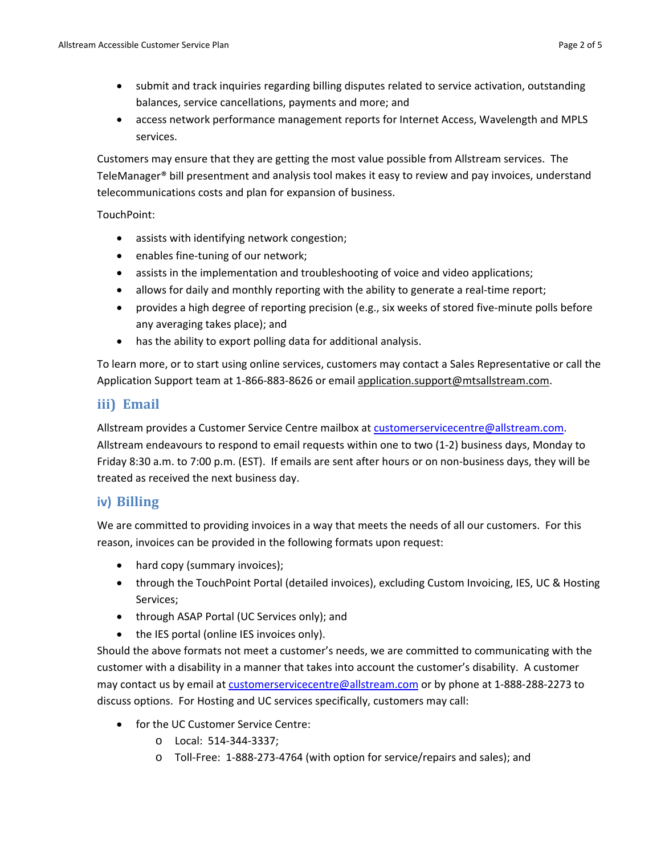- submit and track inquiries regarding billing disputes related to service activation, outstanding balances, service cancellations, payments and more; and
- access network performance management reports for Internet Access, Wavelength and MPLS services.

Customers may ensure that they are getting the most value possible from Allstream services. The TeleManager® bill presentment and analysis tool makes it easy to review and pay invoices, understand telecommunications costs and plan for expansion of business.

#### TouchPoint:

- assists with identifying network congestion;
- enables fine-tuning of our network;
- assists in the implementation and troubleshooting of voice and video applications;
- allows for daily and monthly reporting with the ability to generate a real-time report;
- provides a high degree of reporting precision (e.g., six weeks of stored five-minute polls before any averaging takes place); and
- has the ability to export polling data for additional analysis.

To learn more, or to start using online services, customers may contact a Sales Representative or call the Application Support team at 1-866-883-8626 or email application.support@mtsallstream.com.

#### **iii) Email**

Allstream provides a Customer Service Centre mailbox at customerservicecentre@allstream.com. Allstream endeavours to respond to email requests within one to two (1‐2) business days, Monday to Friday 8:30 a.m. to 7:00 p.m. (EST). If emails are sent after hours or on non‐business days, they will be treated as received the next business day.

#### **iv) Billing**

We are committed to providing invoices in a way that meets the needs of all our customers. For this reason, invoices can be provided in the following formats upon request:

- hard copy (summary invoices);
- through the TouchPoint Portal (detailed invoices), excluding Custom Invoicing, IES, UC & Hosting Services;
- through ASAP Portal (UC Services only); and
- the IES portal (online IES invoices only).

Should the above formats not meet a customer's needs, we are committed to communicating with the customer with a disability in a manner that takes into account the customer's disability. A customer may contact us by email at customerservicecentre@allstream.com or by phone at 1‐888‐288‐2273 to discuss options. For Hosting and UC services specifically, customers may call:

- for the UC Customer Service Centre:
	- o Local: 514‐344‐3337;
	- o Toll‐Free: 1‐888‐273‐4764 (with option for service/repairs and sales); and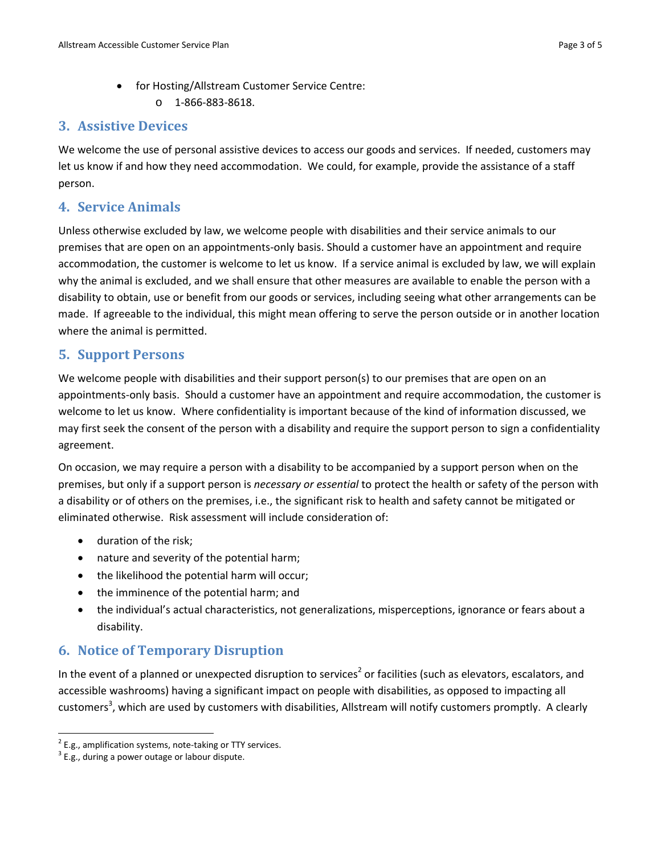• for Hosting/Allstream Customer Service Centre:  $O = 1 - 866 - 883 - 8618$ .

#### **3. Assistive Devices**

We welcome the use of personal assistive devices to access our goods and services. If needed, customers may let us know if and how they need accommodation. We could, for example, provide the assistance of a staff person.

#### **4. Service Animals**

Unless otherwise excluded by law, we welcome people with disabilities and their service animals to our premises that are open on an appointments‐only basis. Should a customer have an appointment and require accommodation, the customer is welcome to let us know. If a service animal is excluded by law, we will explain why the animal is excluded, and we shall ensure that other measures are available to enable the person with a disability to obtain, use or benefit from our goods or services, including seeing what other arrangements can be made. If agreeable to the individual, this might mean offering to serve the person outside or in another location where the animal is permitted.

#### **5. Support Persons**

We welcome people with disabilities and their support person(s) to our premises that are open on an appointments‐only basis. Should a customer have an appointment and require accommodation, the customer is welcome to let us know. Where confidentiality is important because of the kind of information discussed, we may first seek the consent of the person with a disability and require the support person to sign a confidentiality agreement.

On occasion, we may require a person with a disability to be accompanied by a support person when on the premises, but only if a support person is *necessary or essential* to protect the health or safety of the person with a disability or of others on the premises, i.e., the significant risk to health and safety cannot be mitigated or eliminated otherwise. Risk assessment will include consideration of:

- duration of the risk;
- nature and severity of the potential harm;
- the likelihood the potential harm will occur;
- the imminence of the potential harm; and
- the individual's actual characteristics, not generalizations, misperceptions, ignorance or fears about a disability.

## **6. Notice of Temporary Disruption**

In the event of a planned or unexpected disruption to services<sup>2</sup> or facilities (such as elevators, escalators, and accessible washrooms) having a significant impact on people with disabilities, as opposed to impacting all customers<sup>3</sup>, which are used by customers with disabilities, Allstream will notify customers promptly. A clearly

<sup>&</sup>lt;sup>2</sup> E.g., amplification systems, note-taking or TTY services.<br><sup>3</sup> E.g., during a power outage or labour dispute.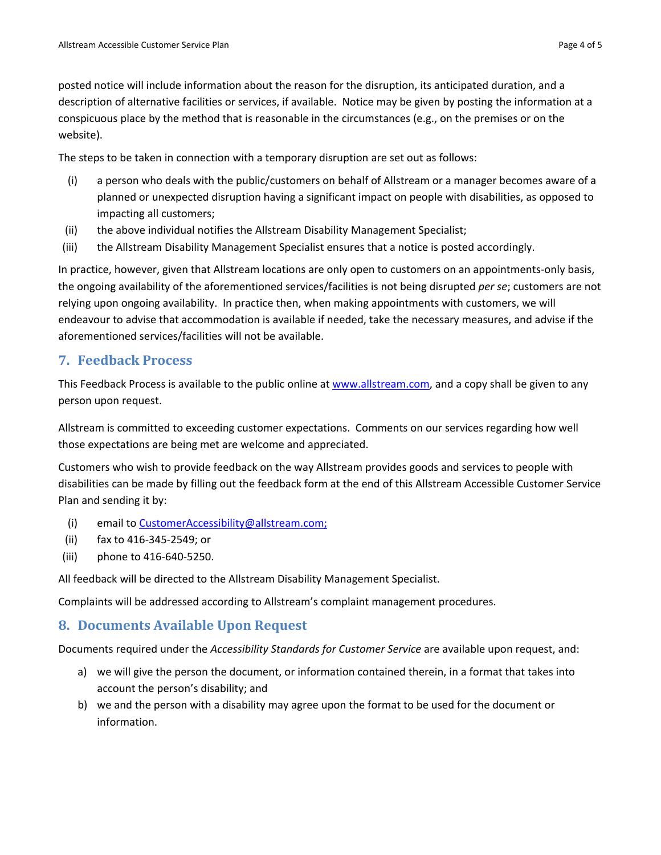posted notice will include information about the reason for the disruption, its anticipated duration, and a description of alternative facilities or services, if available. Notice may be given by posting the information at a conspicuous place by the method that is reasonable in the circumstances (e.g., on the premises or on the website).

The steps to be taken in connection with a temporary disruption are set out as follows:

- (i) a person who deals with the public/customers on behalf of Allstream or a manager becomes aware of a planned or unexpected disruption having a significant impact on people with disabilities, as opposed to impacting all customers;
- (ii) the above individual notifies the Allstream Disability Management Specialist;
- (iii) the Allstream Disability Management Specialist ensures that a notice is posted accordingly.

In practice, however, given that Allstream locations are only open to customers on an appointments‐only basis, the ongoing availability of the aforementioned services/facilities is not being disrupted *per se*; customers are not relying upon ongoing availability. In practice then, when making appointments with customers, we will endeavour to advise that accommodation is available if needed, take the necessary measures, and advise if the aforementioned services/facilities will not be available.

#### **7. Feedback Process**

This Feedback Process is available to the public online at www.allstream.com, and a copy shall be given to any person upon request.

Allstream is committed to exceeding customer expectations. Comments on our services regarding how well those expectations are being met are welcome and appreciated.

Customers who wish to provide feedback on the way Allstream provides goods and services to people with disabilities can be made by filling out the feedback form at the end of this Allstream Accessible Customer Service Plan and sending it by:

- (i) email to CustomerAccessibility@allstream.com;
- (ii) fax to 416‐345‐2549; or
- (iii) phone to 416‐640‐5250.

All feedback will be directed to the Allstream Disability Management Specialist.

Complaints will be addressed according to Allstream's complaint management procedures.

#### **8. Documents Available Upon Request**

Documents required under the *Accessibility Standards for Customer Service* are available upon request, and:

- a) we will give the person the document, or information contained therein, in a format that takes into account the person's disability; and
- b) we and the person with a disability may agree upon the format to be used for the document or information.